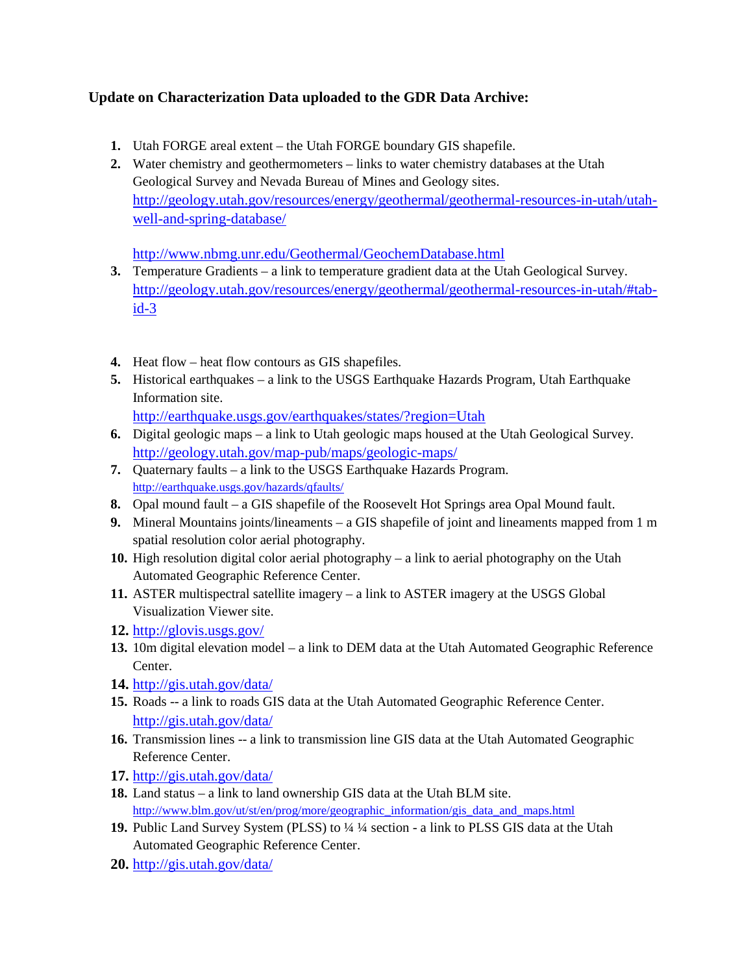## **Update on Characterization Data uploaded to the GDR Data Archive:**

- **1.** Utah FORGE areal extent the Utah FORGE boundary GIS shapefile.
- **2.** Water chemistry and geothermometers links to water chemistry databases at the Utah Geological Survey and Nevada Bureau of Mines and Geology sites. [http://geology.utah.gov/resources/energy/geothermal/geothermal-resources-in-utah/utah](http://geology.utah.gov/resources/energy/geothermal/geothermal-resources-in-utah/utah-well-and-spring-database/)[well-and-spring-database/](http://geology.utah.gov/resources/energy/geothermal/geothermal-resources-in-utah/utah-well-and-spring-database/)

<http://www.nbmg.unr.edu/Geothermal/GeochemDatabase.html>

- **3.** Temperature Gradients a link to temperature gradient data at the Utah Geological Survey. [http://geology.utah.gov/resources/energy/geothermal/geothermal-resources-in-utah/#tab](http://geology.utah.gov/resources/energy/geothermal/geothermal-resources-in-utah/#tab-id-3)[id-3](http://geology.utah.gov/resources/energy/geothermal/geothermal-resources-in-utah/#tab-id-3)
- **4.** Heat flow heat flow contours as GIS shapefiles.
- **5.** Historical earthquakes a link to the USGS Earthquake Hazards Program, Utah Earthquake Information site.

<http://earthquake.usgs.gov/earthquakes/states/?region=Utah>

- **6.** Digital geologic maps a link to Utah geologic maps housed at the Utah Geological Survey. <http://geology.utah.gov/map-pub/maps/geologic-maps/>
- **7.** Quaternary faults a link to the USGS Earthquake Hazards Program. <http://earthquake.usgs.gov/hazards/qfaults/>
- **8.** Opal mound fault a GIS shapefile of the Roosevelt Hot Springs area Opal Mound fault.
- **9.** Mineral Mountains joints/lineaments a GIS shapefile of joint and lineaments mapped from 1 m spatial resolution color aerial photography.
- **10.** High resolution digital color aerial photography a link to aerial photography on the Utah Automated Geographic Reference Center.
- **11.** ASTER multispectral satellite imagery a link to ASTER imagery at the USGS Global Visualization Viewer site.
- **12.** <http://glovis.usgs.gov/>
- **13.** 10m digital elevation model a link to DEM data at the Utah Automated Geographic Reference Center.
- **14.** <http://gis.utah.gov/data/>
- **15.** Roads -- a link to roads GIS data at the Utah Automated Geographic Reference Center. <http://gis.utah.gov/data/>
- **16.** Transmission lines -- a link to transmission line GIS data at the Utah Automated Geographic Reference Center.
- **17.** <http://gis.utah.gov/data/>
- **18.** Land status a link to land ownership GIS data at the Utah BLM site. [http://www.blm.gov/ut/st/en/prog/more/geographic\\_information/gis\\_data\\_and\\_maps.html](http://www.blm.gov/ut/st/en/prog/more/geographic_information/gis_data_and_maps.html)
- **19.** Public Land Survey System (PLSS) to ¼ ¼ section a link to PLSS GIS data at the Utah Automated Geographic Reference Center.
- **20.** <http://gis.utah.gov/data/>